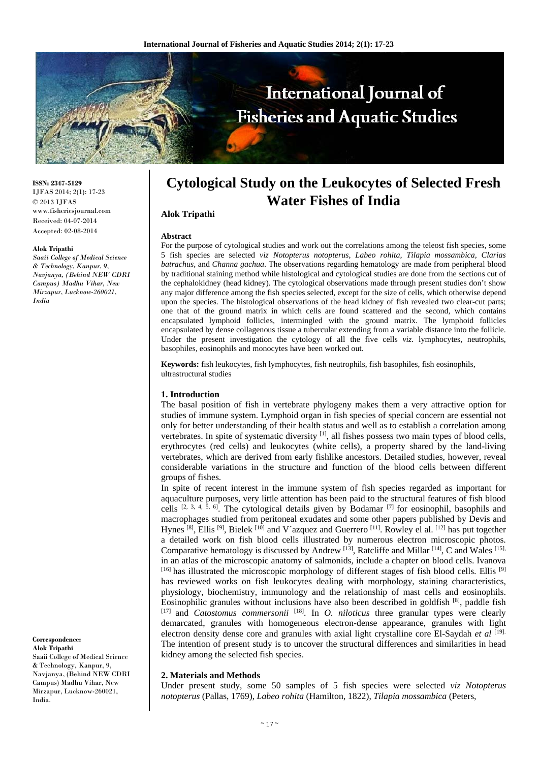

**ISSN: 2347-5129** IJFAS 2014; 2(1): 17-23 © 2013 IJFAS www.fisheriesjournal.com Received: 04-07-2014 Accepted: 02-08-2014

#### **Alok Tripathi**

*Saaii College of Medical Science & Technology, Kanpur, 9, Navjanya, (Behind NEW CDRI Campus) Madhu Vihar, New Mirzapur, Lucknow-260021, India* 

**Correspondence: Alok Tripathi** 

Saaii College of Medical Science & Technology, Kanpur, 9, Navjanya, (Behind NEW CDRI Campus) Madhu Vihar, New Mirzapur, Lucknow-260021, India.

# **Cytological Study on the Leukocytes of Selected Fresh Water Fishes of India**

## **Alok Tripathi**

#### **Abstract**

For the purpose of cytological studies and work out the correlations among the teleost fish species, some 5 fish species are selected *viz Notopterus notopterus*, *Labeo rohita, Tilapia mossambica, Clarias batrachus,* and *Channa gachua*. The observations regarding hematology are made from peripheral blood by traditional staining method while histological and cytological studies are done from the sections cut of the cephalokidney (head kidney). The cytological observations made through present studies don't show any major difference among the fish species selected, except for the size of cells, which otherwise depend upon the species. The histological observations of the head kidney of fish revealed two clear-cut parts; one that of the ground matrix in which cells are found scattered and the second, which contains encapsulated lymphoid follicles, intermingled with the ground matrix. The lymphoid follicles encapsulated by dense collagenous tissue a tubercular extending from a variable distance into the follicle. Under the present investigation the cytology of all the five cells *viz.* lymphocytes, neutrophils, basophiles, eosinophils and monocytes have been worked out.

**Keywords:** fish leukocytes, fish lymphocytes, fish neutrophils, fish basophiles, fish eosinophils, ultrastructural studies

## **1. Introduction**

The basal position of fish in vertebrate phylogeny makes them a very attractive option for studies of immune system. Lymphoid organ in fish species of special concern are essential not only for better understanding of their health status and well as to establish a correlation among vertebrates. In spite of systematic diversity [1], all fishes possess two main types of blood cells, erythrocytes (red cells) and leukocytes (white cells), a property shared by the land-living vertebrates, which are derived from early fishlike ancestors. Detailed studies, however, reveal considerable variations in the structure and function of the blood cells between different groups of fishes.

In spite of recent interest in the immune system of fish species regarded as important for aquaculture purposes, very little attention has been paid to the structural features of fish blood cells [2, 3, 4, 5, 6]. The cytological details given by Bodamar [7] for eosinophil, basophils and macrophages studied from peritoneal exudates and some other papers published by Devis and Hynes [8], Ellis [9], Bielek [10] and V´azquez and Guerrero [11]. Rowley el al. [12] has put together a detailed work on fish blood cells illustrated by numerous electron microscopic photos. Comparative hematology is discussed by Andrew <sup>[13]</sup>, Ratcliffe and Millar <sup>[14]</sup>, C and Wales <sup>[15],</sup> in an atlas of the microscopic anatomy of salmonids, include a chapter on blood cells. Ivanova [16] has illustrated the microscopic morphology of different stages of fish blood cells. Ellis [9] has reviewed works on fish leukocytes dealing with morphology, staining characteristics, physiology, biochemistry, immunology and the relationship of mast cells and eosinophils. Eosinophilic granules without inclusions have also been described in goldfish  $[8]$ , paddle fish [17] and *Catostomus commersonii* [18]. In *O. niloticus* three granular types were clearly demarcated, granules with homogeneous electron-dense appearance, granules with light electron density dense core and granules with axial light crystalline core El-Saydah *et al* [19]. The intention of present study is to uncover the structural differences and similarities in head kidney among the selected fish species.

### **2. Materials and Methods**

Under present study, some 50 samples of 5 fish species were selected *viz Notopterus notopterus* (Pallas, 1769), *Labeo rohita* (Hamilton, 1822), *Tilapia mossambica* (Peters,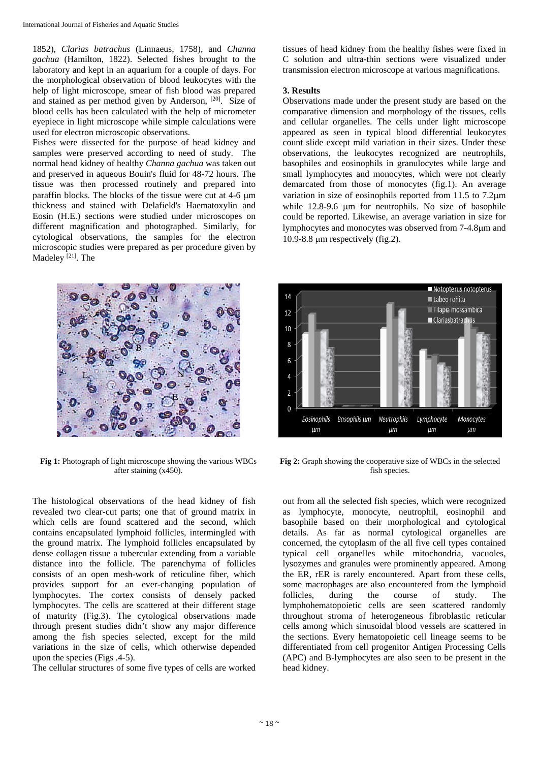1852), *Clarias batrachus* (Linnaeus, 1758)*,* and *Channa gachua* (Hamilton, 1822). Selected fishes brought to the laboratory and kept in an aquarium for a couple of days. For the morphological observation of blood leukocytes with the help of light microscope, smear of fish blood was prepared and stained as per method given by Anderson, [20]. Size of blood cells has been calculated with the help of micrometer eyepiece in light microscope while simple calculations were used for electron microscopic observations.

Fishes were dissected for the purpose of head kidney and samples were preserved according to need of study. The normal head kidney of healthy *Channa gachua* was taken out and preserved in aqueous Bouin's fluid for 48-72 hours. The tissue was then processed routinely and prepared into paraffin blocks. The blocks of the tissue were cut at 4-6 m thickness and stained with Delafield's Haematoxylin and Eosin (H.E.) sections were studied under microscopes on different magnification and photographed. Similarly, for cytological observations, the samples for the electron microscopic studies were prepared as per procedure given by Madeley<sup>[21]</sup>. The



**Fig 1:** Photograph of light microscope showing the various WBCs after staining (x450).

The histological observations of the head kidney of fish revealed two clear-cut parts; one that of ground matrix in which cells are found scattered and the second, which contains encapsulated lymphoid follicles, intermingled with the ground matrix. The lymphoid follicles encapsulated by dense collagen tissue a tubercular extending from a variable distance into the follicle. The parenchyma of follicles consists of an open mesh-work of reticuline fiber, which provides support for an ever-changing population of lymphocytes. The cortex consists of densely packed lymphocytes. The cells are scattered at their different stage of maturity (Fig.3). The cytological observations made through present studies didn't show any major difference among the fish species selected, except for the mild variations in the size of cells, which otherwise depended upon the species (Figs .4-5).

The cellular structures of some five types of cells are worked

tissues of head kidney from the healthy fishes were fixed in C solution and ultra-thin sections were visualized under transmission electron microscope at various magnifications.

# **3. Results**

Observations made under the present study are based on the comparative dimension and morphology of the tissues, cells and cellular organelles. The cells under light microscope appeared as seen in typical blood differential leukocytes count slide except mild variation in their sizes. Under these observations, the leukocytes recognized are neutrophils, basophiles and eosinophils in granulocytes while large and small lymphocytes and monocytes, which were not clearly demarcated from those of monocytes (fig.1). An average variation in size of eosinophils reported from 11.5 to 7.2m while 12.8-9.6 µm for neutrophils. No size of basophile could be reported. Likewise, an average variation in size for lymphocytes and monocytes was observed from 7-4.8 $\mu$ m and 10.9-8.8  $\mu$ m respectively (fig.2).



**Fig 2:** Graph showing the cooperative size of WBCs in the selected fish species.

out from all the selected fish species, which were recognized as lymphocyte, monocyte, neutrophil, eosinophil and basophile based on their morphological and cytological details. As far as normal cytological organelles are concerned, the cytoplasm of the all five cell types contained typical cell organelles while mitochondria, vacuoles, lysozymes and granules were prominently appeared. Among the ER, rER is rarely encountered. Apart from these cells, some macrophages are also encountered from the lymphoid follicles, during the course of study. The lymphohematopoietic cells are seen scattered randomly throughout stroma of heterogeneous fibroblastic reticular cells among which sinusoidal blood vessels are scattered in the sections. Every hematopoietic cell lineage seems to be differentiated from cell progenitor Antigen Processing Cells (APC) and B-lymphocytes are also seen to be present in the head kidney.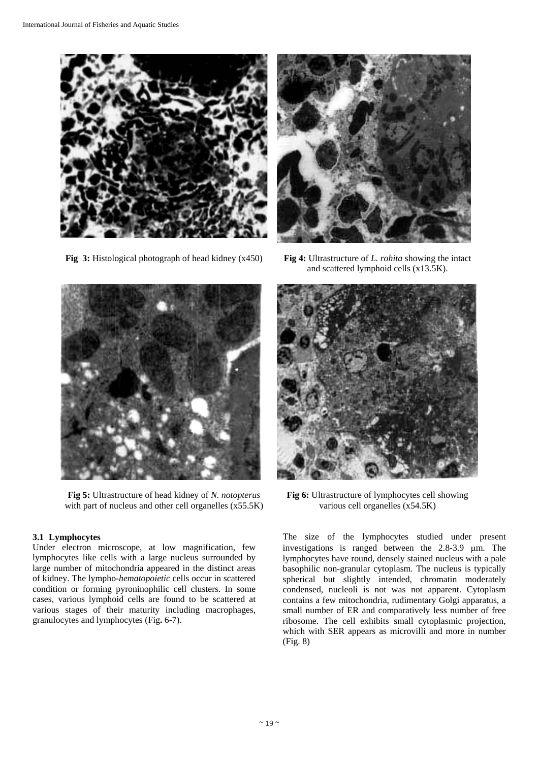

**Fig 3:** Histological photograph of head kidney (x450) **Fig 4:** Ultrastructure of *L. rohita* showing the intact



and scattered lymphoid cells (x13.5K).



**Fig 5:** Ultrastructure of head kidney of *N. notopterus*  with part of nucleus and other cell organelles (x55.5K)

# **3.1 Lymphocytes**

Under electron microscope, at low magnification, few lymphocytes like cells with a large nucleus surrounded by large number of mitochondria appeared in the distinct areas of kidney. The lympho-*hematopoietic* cells occur in scattered condition or forming pyroninophilic cell clusters. In some cases, various lymphoid cells are found to be scattered at various stages of their maturity including macrophages, granulocytes and lymphocytes (Fig**.** 6-7).



**Fig 6:** Ultrastructure of lymphocytes cell showing various cell organelles (x54.5K)

The size of the lymphocytes studied under present investigations is ranged between the  $2.8-3.9$  µm. The lymphocytes have round, densely stained nucleus with a pale basophilic non-granular cytoplasm. The nucleus is typically spherical but slightly intended, chromatin moderately condensed, nucleoli is not was not apparent. Cytoplasm contains a few mitochondria, rudimentary Golgi apparatus, a small number of ER and comparatively less number of free ribosome. The cell exhibits small cytoplasmic projection, which with SER appears as microvilli and more in number (Fig. 8)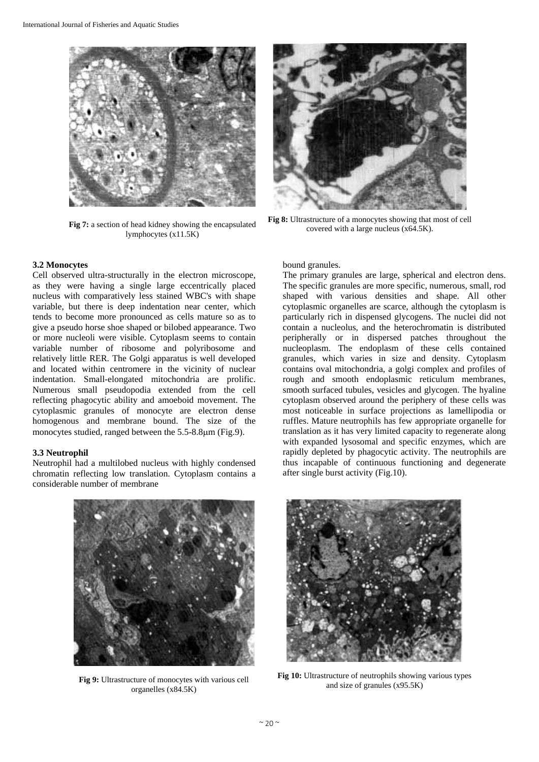

**Fig 7:** a section of head kidney showing the encapsulated lymphocytes (x11.5K)

#### **3.2 Monocytes**

Cell observed ultra-structurally in the electron microscope, as they were having a single large eccentrically placed nucleus with comparatively less stained WBC's with shape variable, but there is deep indentation near center, which tends to become more pronounced as cells mature so as to give a pseudo horse shoe shaped or bilobed appearance. Two or more nucleoli were visible. Cytoplasm seems to contain variable number of ribosome and polyribosome and relatively little RER. The Golgi apparatus is well developed and located within centromere in the vicinity of nuclear indentation. Small-elongated mitochondria are prolific. Numerous small pseudopodia extended from the cell reflecting phagocytic ability and amoeboid movement. The cytoplasmic granules of monocyte are electron dense homogenous and membrane bound. The size of the monocytes studied, ranged between the 5.5-8.8um (Fig.9).

## **3.3 Neutrophil**

Neutrophil had a multilobed nucleus with highly condensed chromatin reflecting low translation. Cytoplasm contains a considerable number of membrane



**Fig 8:** Ultrastructure of a monocytes showing that most of cell covered with a large nucleus (x64.5K).

bound granules.

The primary granules are large, spherical and electron dens. The specific granules are more specific, numerous, small, rod shaped with various densities and shape. All other cytoplasmic organelles are scarce, although the cytoplasm is particularly rich in dispensed glycogens. The nuclei did not contain a nucleolus, and the heterochromatin is distributed peripherally or in dispersed patches throughout the nucleoplasm. The endoplasm of these cells contained granules, which varies in size and density. Cytoplasm contains oval mitochondria, a golgi complex and profiles of rough and smooth endoplasmic reticulum membranes, smooth surfaced tubules, vesicles and glycogen. The hyaline cytoplasm observed around the periphery of these cells was most noticeable in surface projections as lamellipodia or ruffles. Mature neutrophils has few appropriate organelle for translation as it has very limited capacity to regenerate along with expanded lysosomal and specific enzymes, which are rapidly depleted by phagocytic activity. The neutrophils are thus incapable of continuous functioning and degenerate after single burst activity (Fig.10).



**Fig 9:** Ultrastructure of monocytes with various cell organelles (x84.5K)



**Fig 10:** Ultrastructure of neutrophils showing various types and size of granules (x95.5K)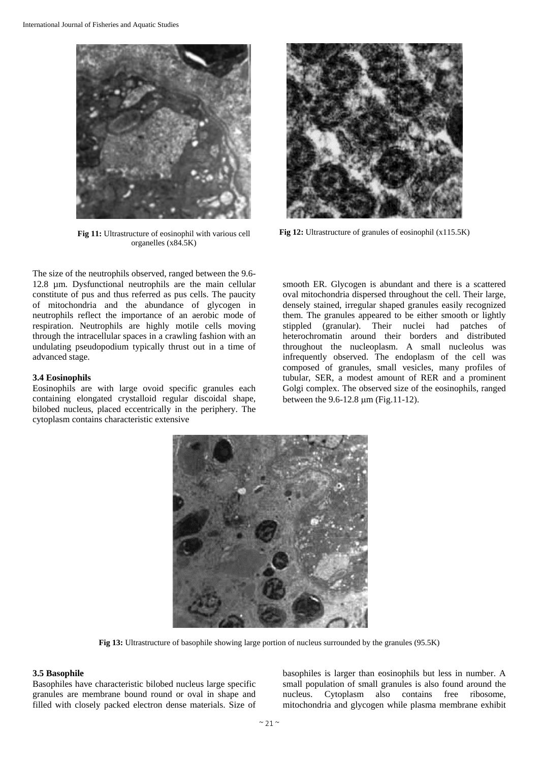

**Fig 11:** Ultrastructure of eosinophil with various cell organelles (x84.5K)

The size of the neutrophils observed, ranged between the 9.6- 12.8 µm. Dysfunctional neutrophils are the main cellular constitute of pus and thus referred as pus cells. The paucity of mitochondria and the abundance of glycogen in neutrophils reflect the importance of an aerobic mode of respiration. Neutrophils are highly motile cells moving through the intracellular spaces in a crawling fashion with an undulating pseudopodium typically thrust out in a time of advanced stage.

## **3.4 Eosinophils**

Eosinophils are with large ovoid specific granules each containing elongated crystalloid regular discoidal shape, bilobed nucleus, placed eccentrically in the periphery. The cytoplasm contains characteristic extensive



**Fig 12:** Ultrastructure of granules of eosinophil (x115.5K)

smooth ER. Glycogen is abundant and there is a scattered oval mitochondria dispersed throughout the cell. Their large, densely stained, irregular shaped granules easily recognized them. The granules appeared to be either smooth or lightly stippled (granular). Their nuclei had patches of heterochromatin around their borders and distributed throughout the nucleoplasm. A small nucleolus was infrequently observed. The endoplasm of the cell was composed of granules, small vesicles, many profiles of tubular, SER, a modest amount of RER and a prominent Golgi complex. The observed size of the eosinophils, ranged between the  $9.6 - 12.8 \mu m$  (Fig.11-12).



**Fig 13:** Ultrastructure of basophile showing large portion of nucleus surrounded by the granules (95.5K)

## **3.5 Basophile**

Basophiles have characteristic bilobed nucleus large specific granules are membrane bound round or oval in shape and filled with closely packed electron dense materials. Size of basophiles is larger than eosinophils but less in number. A small population of small granules is also found around the nucleus. Cytoplasm also contains free ribosome, mitochondria and glycogen while plasma membrane exhibit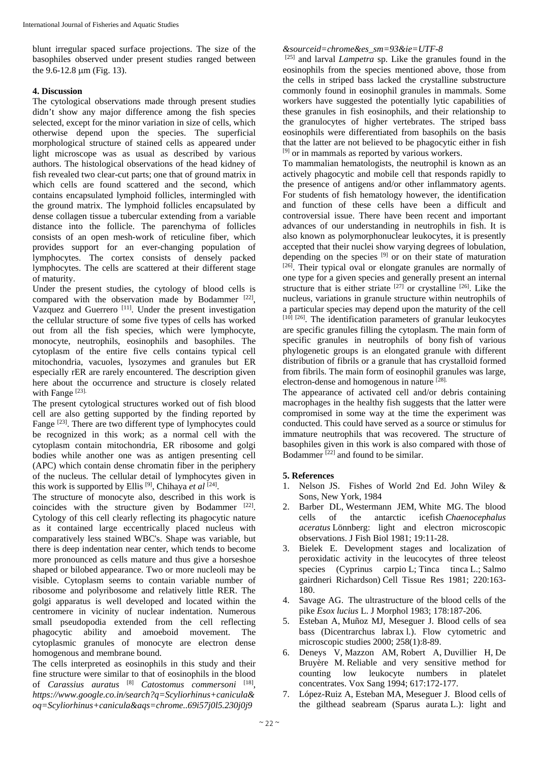blunt irregular spaced surface projections. The size of the basophiles observed under present studies ranged between the  $9.6 - 12.8 \text{ µm}$  (Fig. 13).

# **4. Discussion**

The cytological observations made through present studies didn't show any major difference among the fish species selected, except for the minor variation in size of cells, which otherwise depend upon the species. The superficial morphological structure of stained cells as appeared under light microscope was as usual as described by various authors. The histological observations of the head kidney of fish revealed two clear-cut parts; one that of ground matrix in which cells are found scattered and the second, which contains encapsulated lymphoid follicles, intermingled with the ground matrix. The lymphoid follicles encapsulated by dense collagen tissue a tubercular extending from a variable distance into the follicle. The parenchyma of follicles consists of an open mesh-work of reticuline fiber, which provides support for an ever-changing population of lymphocytes. The cortex consists of densely packed lymphocytes. The cells are scattered at their different stage of maturity.

Under the present studies, the cytology of blood cells is compared with the observation made by Bodammer [22], Vazquez and Guerrero [11]. Under the present investigation the cellular structure of some five types of cells has worked out from all the fish species, which were lymphocyte, monocyte, neutrophils, eosinophils and basophiles. The cytoplasm of the entire five cells contains typical cell mitochondria, vacuoles, lysozymes and granules but ER especially rER are rarely encountered. The description given here about the occurrence and structure is closely related with Fange<sup>[23]</sup>.

The present cytological structures worked out of fish blood cell are also getting supported by the finding reported by Fange <sup>[23]</sup>. There are two different type of lymphocytes could be recognized in this work; as a normal cell with the cytoplasm contain mitochondria, ER ribosome and golgi bodies while another one was as antigen presenting cell (APC) which contain dense chromatin fiber in the periphery of the nucleus. The cellular detail of lymphocytes given in this work is supported by Ellis<sup>[9]</sup>, Chihaya *et al* <sup>[24]</sup>.

The structure of monocyte also, described in this work is coincides with the structure given by Bodammer [22]. Cytology of this cell clearly reflecting its phagocytic nature as it contained large eccentrically placed nucleus with comparatively less stained WBC's. Shape was variable, but there is deep indentation near center, which tends to become more pronounced as cells mature and thus give a horseshoe shaped or bilobed appearance. Two or more nucleoli may be visible. Cytoplasm seems to contain variable number of ribosome and polyribosome and relatively little RER. The golgi apparatus is well developed and located within the centromere in vicinity of nuclear indentation. Numerous small pseudopodia extended from the cell reflecting phagocytic ability and amoeboid movement. The cytoplasmic granules of monocyte are electron dense homogenous and membrane bound.

The cells interpreted as eosinophils in this study and their fine structure were similar to that of eosinophils in the blood of *Carassius auratus* [8] *Catostomus commersoni* [18], *https://www.google.co.in/search?q=Scyliorhinus+canicula& oq=Scyliorhinus+canicula&aqs=chrome..69i57j0l5.230j0j9*

# *&sourceid=chrome&es\_sm=93&ie=UTF-8*

[25] and larval *Lampetra* sp. Like the granules found in the eosinophils from the species mentioned above, those from the cells in striped bass lacked the crystalline substructure commonly found in eosinophil granules in mammals. Some workers have suggested the potentially lytic capabilities of these granules in fish eosinophils, and their relationship to the granulocytes of higher vertebrates. The striped bass eosinophils were differentiated from basophils on the basis that the latter are not believed to be phagocytic either in fish [9] or in mammals as reported by various workers.

To mammalian hematologists, the neutrophil is known as an actively phagocytic and mobile cell that responds rapidly to the presence of antigens and/or other inflammatory agents. For students of fish hematology however, the identification and function of these cells have been a difficult and controversial issue. There have been recent and important advances of our understanding in neutrophils in fish. It is also known as polymorphonuclear leukocytes, it is presently accepted that their nuclei show varying degrees of lobulation, depending on the species [9] or on their state of maturation [26]. Their typical oval or elongate granules are normally of one type for a given species and generally present an internal structure that is either striate  $[27]$  or crystalline  $[26]$ . Like the nucleus, variations in granule structure within neutrophils of a particular species may depend upon the maturity of the cell  $[10]$   $[26]$ . The identification parameters of granular leukocytes are specific granules filling the cytoplasm. The main form of specific granules in neutrophils of bony fish of various phylogenetic groups is an elongated granule with different distribution of fibrils or a granule that has crystalloid formed from fibrils. The main form of eosinophil granules was large, electron-dense and homogenous in nature [28].

The appearance of activated cell and/or debris containing macrophages in the healthy fish suggests that the latter were compromised in some way at the time the experiment was conducted. This could have served as a source or stimulus for immature neutrophils that was recovered. The structure of basophiles given in this work is also compared with those of Bodammer  $^{[22]}$  and found to be similar.

# **5. References**

- 1. Nelson JS. Fishes of World 2nd Ed. John Wiley & Sons, New York, 1984
- 2. Barber DL, Westermann JEM, White MG. The blood cells of the antarctic icefish *Chaenocephalus aceratus* Lönnberg: light and electron microscopic observations. J Fish Biol 1981; 19:11-28.
- 3. Bielek E. Development stages and localization of peroxidatic activity in the leucocytes of three teleost species (Cyprinus carpio L; Tinca tinca L.; Salmo gairdneri Richardson) Cell Tissue Res 1981; 220:163- 180.
- 4. Savage AG. The ultrastructure of the blood cells of the pike *Esox lucius* L. J Morphol 1983; 178:187-206.
- 5. Esteban A, Muñoz MJ, Meseguer J. Blood cells of sea bass (Dicentrarchus labrax l.). Flow cytometric and microscopic studies 2000; 258(1):8-89.
- 6. Deneys V, Mazzon AM, Robert A, Duvillier H, De Bruyère M. Reliable and very sensitive method for counting low leukocyte numbers in platelet concentrates. Vox Sang 1994; 617:172-177.
- 7. López-Ruiz A, Esteban MA, Meseguer J. Blood cells of the gilthead seabream (Sparus aurata L.): light and